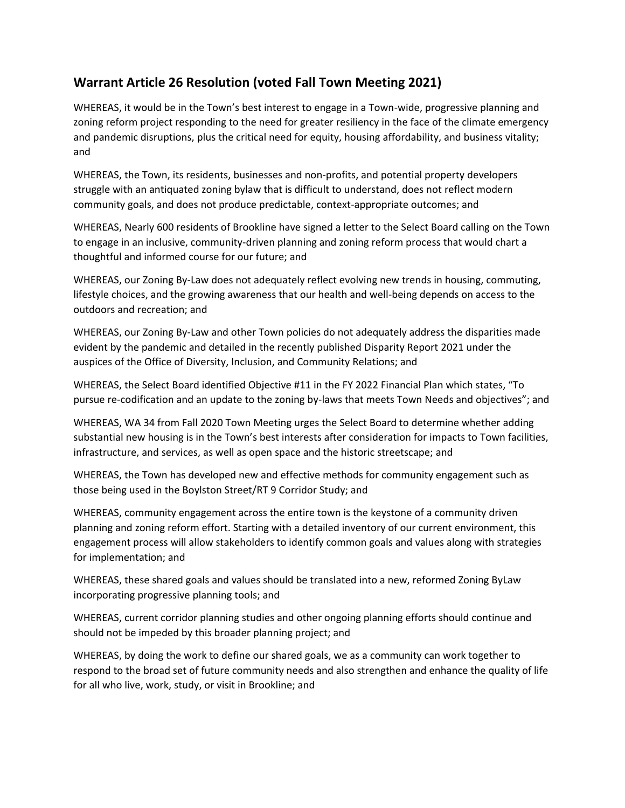## **Warrant Article 26 Resolution (voted Fall Town Meeting 2021)**

WHEREAS, it would be in the Town's best interest to engage in a Town-wide, progressive planning and zoning reform project responding to the need for greater resiliency in the face of the climate emergency and pandemic disruptions, plus the critical need for equity, housing affordability, and business vitality; and

WHEREAS, the Town, its residents, businesses and non-profits, and potential property developers struggle with an antiquated zoning bylaw that is difficult to understand, does not reflect modern community goals, and does not produce predictable, context-appropriate outcomes; and

WHEREAS, Nearly 600 residents of Brookline have signed a letter to the Select Board calling on the Town to engage in an inclusive, community-driven planning and zoning reform process that would chart a thoughtful and informed course for our future; and

WHEREAS, our Zoning By-Law does not adequately reflect evolving new trends in housing, commuting, lifestyle choices, and the growing awareness that our health and well-being depends on access to the outdoors and recreation; and

WHEREAS, our Zoning By-Law and other Town policies do not adequately address the disparities made evident by the pandemic and detailed in the recently published Disparity Report 2021 under the auspices of the Office of Diversity, Inclusion, and Community Relations; and

WHEREAS, the Select Board identified Objective #11 in the FY 2022 Financial Plan which states, "To pursue re-codification and an update to the zoning by-laws that meets Town Needs and objectives"; and

WHEREAS, WA 34 from Fall 2020 Town Meeting urges the Select Board to determine whether adding substantial new housing is in the Town's best interests after consideration for impacts to Town facilities, infrastructure, and services, as well as open space and the historic streetscape; and

WHEREAS, the Town has developed new and effective methods for community engagement such as those being used in the Boylston Street/RT 9 Corridor Study; and

WHEREAS, community engagement across the entire town is the keystone of a community driven planning and zoning reform effort. Starting with a detailed inventory of our current environment, this engagement process will allow stakeholders to identify common goals and values along with strategies for implementation; and

WHEREAS, these shared goals and values should be translated into a new, reformed Zoning ByLaw incorporating progressive planning tools; and

WHEREAS, current corridor planning studies and other ongoing planning efforts should continue and should not be impeded by this broader planning project; and

WHEREAS, by doing the work to define our shared goals, we as a community can work together to respond to the broad set of future community needs and also strengthen and enhance the quality of life for all who live, work, study, or visit in Brookline; and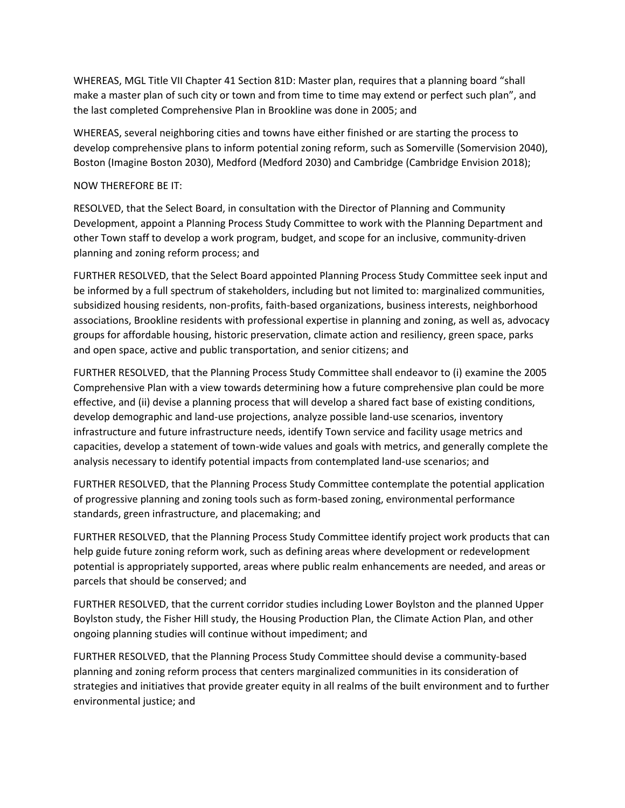WHEREAS, MGL Title VII Chapter 41 Section 81D: Master plan, requires that a planning board "shall make a master plan of such city or town and from time to time may extend or perfect such plan", and the last completed Comprehensive Plan in Brookline was done in 2005; and

WHEREAS, several neighboring cities and towns have either finished or are starting the process to develop comprehensive plans to inform potential zoning reform, such as Somerville (Somervision 2040), Boston (Imagine Boston 2030), Medford (Medford 2030) and Cambridge (Cambridge Envision 2018);

## NOW THEREFORE BE IT:

RESOLVED, that the Select Board, in consultation with the Director of Planning and Community Development, appoint a Planning Process Study Committee to work with the Planning Department and other Town staff to develop a work program, budget, and scope for an inclusive, community-driven planning and zoning reform process; and

FURTHER RESOLVED, that the Select Board appointed Planning Process Study Committee seek input and be informed by a full spectrum of stakeholders, including but not limited to: marginalized communities, subsidized housing residents, non-profits, faith-based organizations, business interests, neighborhood associations, Brookline residents with professional expertise in planning and zoning, as well as, advocacy groups for affordable housing, historic preservation, climate action and resiliency, green space, parks and open space, active and public transportation, and senior citizens; and

FURTHER RESOLVED, that the Planning Process Study Committee shall endeavor to (i) examine the 2005 Comprehensive Plan with a view towards determining how a future comprehensive plan could be more effective, and (ii) devise a planning process that will develop a shared fact base of existing conditions, develop demographic and land-use projections, analyze possible land-use scenarios, inventory infrastructure and future infrastructure needs, identify Town service and facility usage metrics and capacities, develop a statement of town-wide values and goals with metrics, and generally complete the analysis necessary to identify potential impacts from contemplated land-use scenarios; and

FURTHER RESOLVED, that the Planning Process Study Committee contemplate the potential application of progressive planning and zoning tools such as form-based zoning, environmental performance standards, green infrastructure, and placemaking; and

FURTHER RESOLVED, that the Planning Process Study Committee identify project work products that can help guide future zoning reform work, such as defining areas where development or redevelopment potential is appropriately supported, areas where public realm enhancements are needed, and areas or parcels that should be conserved; and

FURTHER RESOLVED, that the current corridor studies including Lower Boylston and the planned Upper Boylston study, the Fisher Hill study, the Housing Production Plan, the Climate Action Plan, and other ongoing planning studies will continue without impediment; and

FURTHER RESOLVED, that the Planning Process Study Committee should devise a community-based planning and zoning reform process that centers marginalized communities in its consideration of strategies and initiatives that provide greater equity in all realms of the built environment and to further environmental justice; and